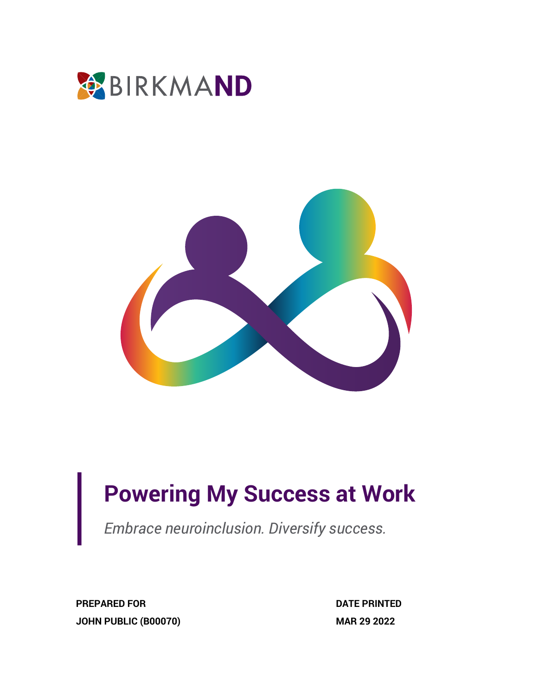



# **Powering My Success at Work**

*Embrace neuroinclusion. Diversify success.*

**PREPARED FOR JOHN PUBLIC (B00070)** **DATE PRINTED MAR 29 2022**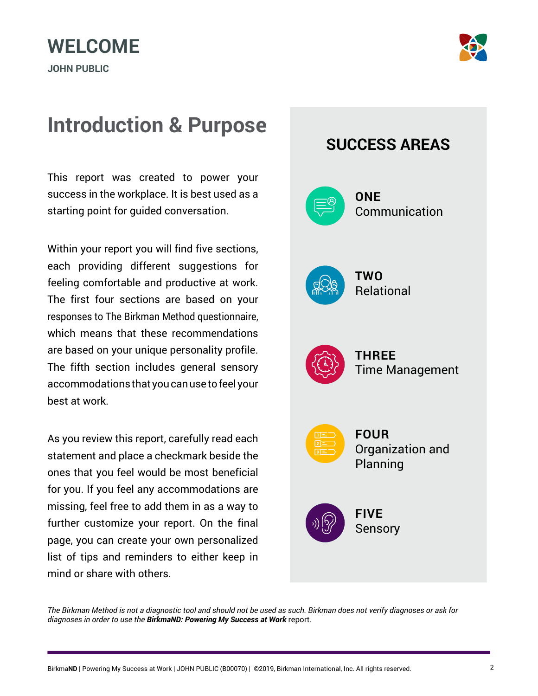# **WELCOME**

**JOHN PUBLIC**



### **Introduction & Purpose**

This report was created to power your success in the workplace. It is best used as a starting point for guided conversation.

Within your report you will find five sections, each providing different suggestions for feeling comfortable and productive at work. The first four sections are based on your responses to The Birkman Method questionnaire, which means that these recommendations are based on your unique personality profile. The fifth section includes general sensory accommodations that you can use to feel your best at work.

As you review this report, carefully read each statement and place a checkmark beside the ones that you feel would be most beneficial for you. If you feel any accommodations are missing, feel free to add them in as a way to further customize your report. On the final page, you can create your own personalized list of tips and reminders to either keep in mind or share with others.



*The Birkman Method is not a diagnostic tool and should not be used as such. Birkman does not verify diagnoses or ask for diagnoses in order to use the BirkmaND: Powering My Success at Work* report.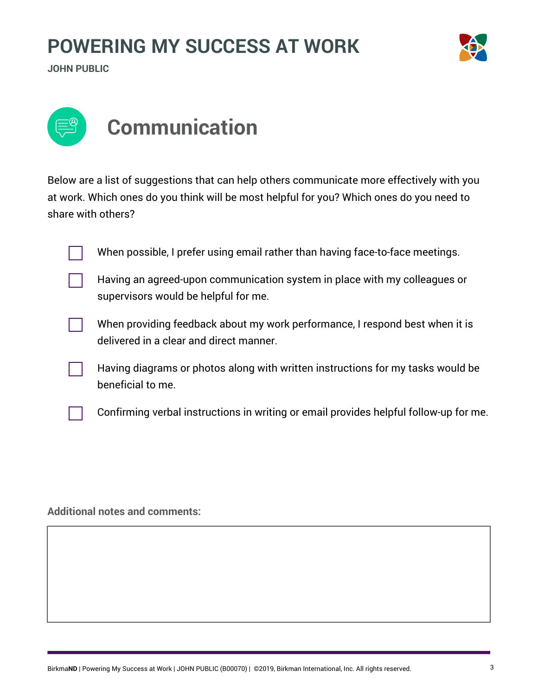

**JOHN PUBLIC**



Below are a list of suggestions that can help others communicate more effectively with you at work. Which ones do you think will be most helpful for you? Which ones do you need to share with others?

When possible, I prefer using email rather than having face-to-face meetings.

Having an agreed-upon communication system in place with my colleagues or supervisors would be helpful for me.



When providing feedback about my work performance, I respond best when it is delivered in a clear and direct manner.

Having diagrams or photos along with written instructions for my tasks would be beneficial to me.

Confirming verbal instructions in writing or email provides helpful follow-up for me.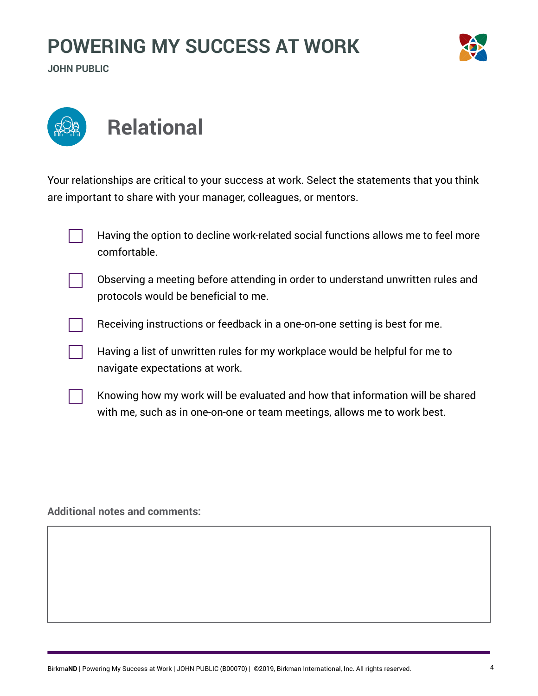**JOHN PUBLIC**





Your relationships are critical to your success at work. Select the statements that you think are important to share with your manager, colleagues, or mentors.

| Having the option to decline work-related social functions allows me to feel more<br>comfortable.                       |
|-------------------------------------------------------------------------------------------------------------------------|
| Observing a meeting before attending in order to understand unwritten rules and<br>protocols would be beneficial to me. |
| Receiving instructions or feedback in a one-on-one setting is best for me.                                              |
| Having a list of unwritten rules for my workplace would be helpful for me to<br>navigate expectations at work.          |

Knowing how my work will be evaluated and how that information will be shared with me, such as in one-on-one or team meetings, allows me to work best.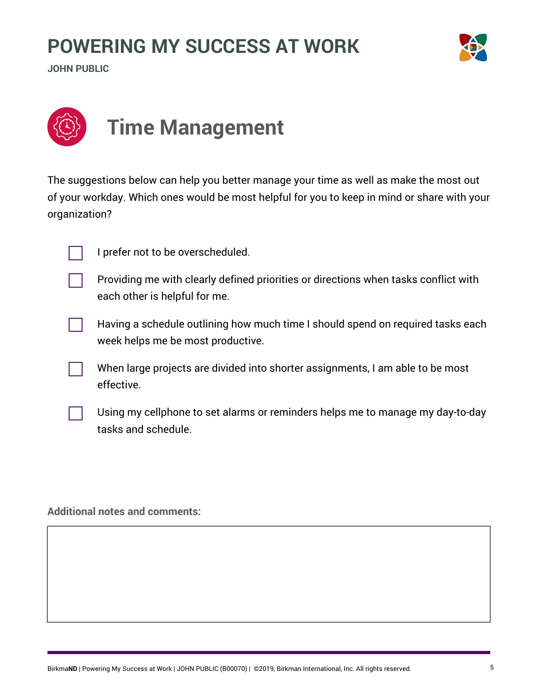

**JOHN PUBLIC**



The suggestions below can help you better manage your time as well as make the most out of your workday. Which ones would be most helpful for you to keep in mind or share with your organization?



I prefer not to be overscheduled.

Providing me with clearly defined priorities or directions when tasks conflict with each other is helpful for me.



When large projects are divided into shorter assignments, I am able to be most effective.

Using my cellphone to set alarms or reminders helps me to manage my day-to-day tasks and schedule.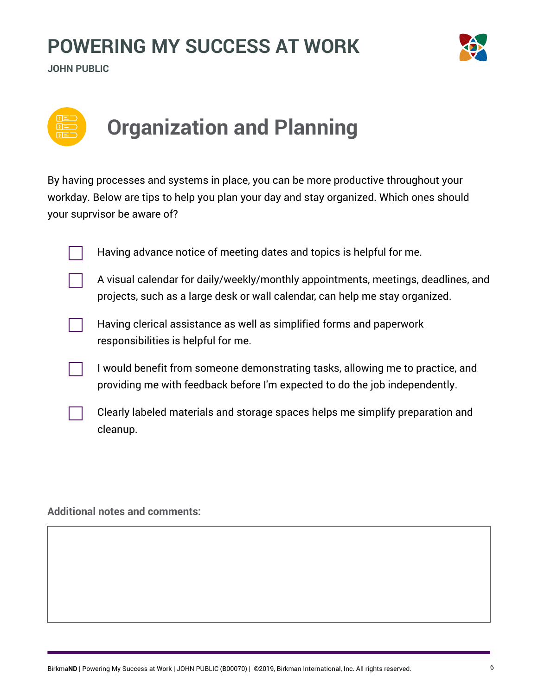



# **Organization and Planning**

By having processes and systems in place, you can be more productive throughout your workday. Below are tips to help you plan your day and stay organized. Which ones should your suprvisor be aware of?

Having advance notice of meeting dates and topics is helpful for me.

A visual calendar for daily/weekly/monthly appointments, meetings, deadlines, and projects, such as a large desk or wall calendar, can help me stay organized.



Having clerical assistance as well as simplified forms and paperwork responsibilities is helpful for me.

I would benefit from someone demonstrating tasks, allowing me to practice, and providing me with feedback before I'm expected to do the job independently.

Clearly labeled materials and storage spaces helps me simplify preparation and cleanup.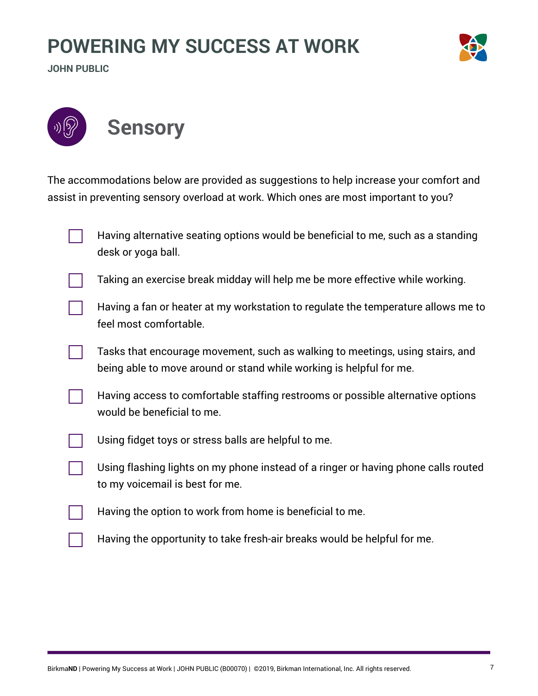**JOHN PUBLIC**





The accommodations below are provided as suggestions to help increase your comfort and assist in preventing sensory overload at work. Which ones are most important to you?

|  | Having alternative seating options would be beneficial to me, such as a standing<br>desk or yoga ball.                                               |
|--|------------------------------------------------------------------------------------------------------------------------------------------------------|
|  | Taking an exercise break midday will help me be more effective while working.                                                                        |
|  | Having a fan or heater at my workstation to regulate the temperature allows me to<br>feel most comfortable.                                          |
|  | Tasks that encourage movement, such as walking to meetings, using stairs, and<br>being able to move around or stand while working is helpful for me. |
|  | Having access to comfortable staffing restrooms or possible alternative options<br>would be beneficial to me.                                        |
|  | Using fidget toys or stress balls are helpful to me.                                                                                                 |
|  | Using flashing lights on my phone instead of a ringer or having phone calls routed<br>to my voicemail is best for me.                                |
|  | Having the option to work from home is beneficial to me.                                                                                             |
|  | Having the opportunity to take fresh-air breaks would be helpful for me.                                                                             |
|  |                                                                                                                                                      |